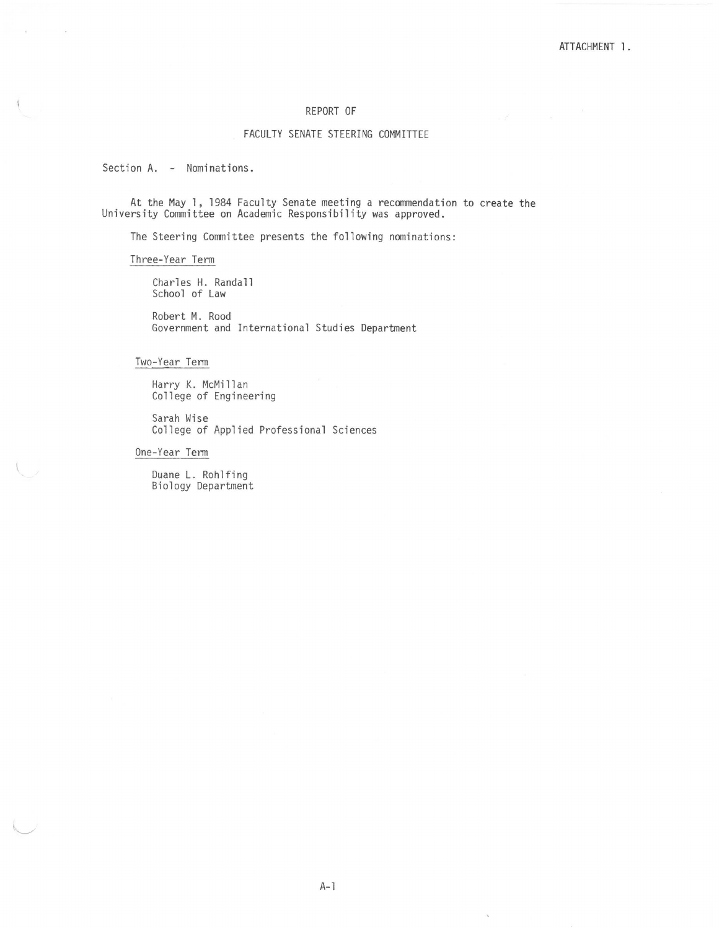## REPORT OF

### FACULTY SENATE STEERING COMMITTEE

Section A. - Nominations.

At the May l, 1984 Faculty Senate meeting a recommendation to create the University Committee on Academic Responsibility was approved.

The Steering Committee presents the following nominations:

Three-Year Term

Charles H. Randall School of Law

Robert M. Rood Government and International Studies Department

Two-Year Term

Harry K. McMillan College of Engineering

Sarah Wise College of Applied Professional Sciences

One-Year Term

Duane L. Rohlfing Biology Department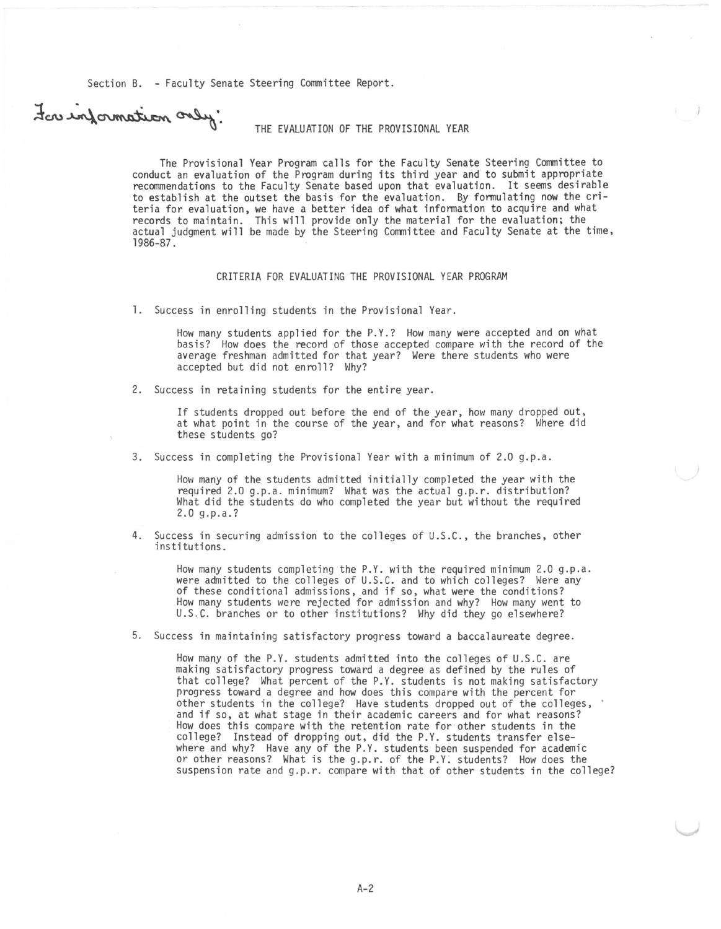Section B. - Faculty Senate Steering Committee Report.

# For information only:

#### THE EVALUATION OF THE PROVISIONAL YEAR

The Provisional Year Program calls for the Faculty Senate Steering Committee to conduct an evaluation of the Program during its third year and to submit appropriate recommendations to the Faculty Senate based upon that evaluation. It seems desirable to establish at the outset the basis for the evaluation. By formulating now the criteria for evaluation, we have a better idea of what information to acquire and what records to maintain. This will provide only the material for the evaluation; the actual judgment will be made by the Steering Committee and Faculty Senate at the time, 1986-87.

#### CRITERIA FOR EVALUATING THE PROVISIONAL YEAR PROGRAM

1. Success in enrolling students in the Provisional Year.

How many students applied for the P.Y.? How many were accepted and on what basis? How does the record of those accepted compare with the record of the average freshman admitted for that year? Were there students who were accepted but did not enroll? Why?

2. Success in retaining students for the entire year.

If students dropped out before the end of the year, how many dropped out, at what point in the course of the year, and for what reasons? Where did these students go?

3. Success in completing the Provisional Year with a minimum of 2.0 g.p.a.

How many of the students admitted initially completed the year with the required 2.0 g.p.a. minimum? What was the actual g.p.r. distribution? What did the students do who completed the year but without the required 2.0 g. p.a.?

4. Success in securing admission to the colleges of U.S.C., the branches, other institutions.

How many students completing the P.Y. with the required minimum 2.0 g.p.a. were admitted to the colleges of U.S.C. and to which colleges? Were any<br>of these conditional admissions, and if so, what were the conditions? How many students were rejected for admission and why? How many went to U.S.C. branches or to other institutions? Why did they go elsewhere?

5. Success in maintaining satisfactory progress toward a baccalaureate degree.

How many of the P.Y. students admitted into the colleges of U.S.C. are making satisfactory progress toward a degree as defined by the rules of that college? What percent of the P.Y. students is not making satisfactory progress toward a degree and how does this compare with the percent for<br>other students in the college? Have students dropped out of the colleges, and if so, at what stage in their academic careers and for what reasons? How does this compare with the retention rate for other students in the college? Instead of dropping out, did the P.Y. students transfer elsewhere and why? Have any of the P.Y. students been suspended for academic or other reasons? What is the g.p.r. of the P.Y. students? How does the suspension rate and g.p.r. compare with that of other students in the college?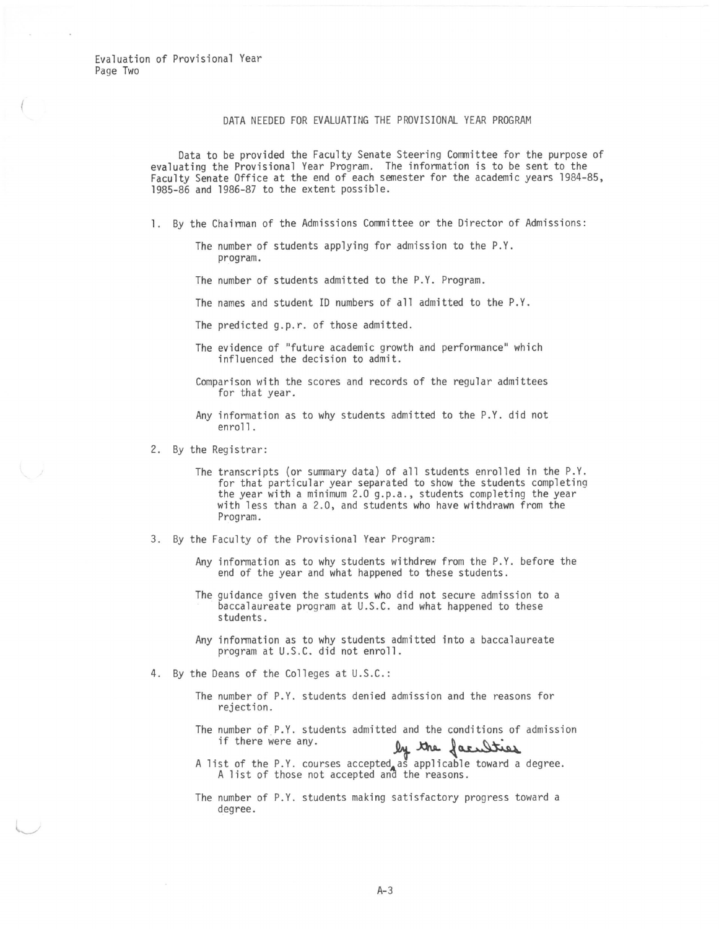Evaluation of Provisional Year Page Two

#### DATA NEEDED FOR EVALUATING THE PROVISIONAL YEAR PROGRAM

Data to be provided the Faculty Senate Steering Committee for the purpose of evaluating the Provisional Year Program. The information is to be sent to the Faculty Senate Office at the end of each semester for the academic years 1984-85, 1985-86 and 1986-87 to the extent possible.

- 1. By the Chairman of the Admissions Committee or the Director of Admissions:
	- The number of students applying for admission to the P.Y. program.

The number of students admitted to the P.Y. Program.

The names and student ID numbers of all admitted to the P.Y.

The predicted g.p.r. of those admitted.

- The evidence of "future academic growth and performance" which influenced the decision to admit.
- Comparison with the scores and records of the regular admittees for that year.
- Any information as to why students admitted to the P.Y. did not enroll.

2. By the Registrar:

- The transcripts (or summary data) of all students enrolled in the P.Y.<br>for that particular year separated to show the students completing the year with a minimum 2.0 g.p.a., students completing the year with less than a 2.0, and students who have withdrawn from the Program.
- 3. By the Faculty of the Provisional Year Program:
	- Any information as to why students withdrew from the P.Y. before the end of the year and what happened to these students.
	- The guidance given the students who did not secure admission to a baccalaureate program at U.S.C. and what happened to these students.
	- Any information as to why students admitted into a baccalaureate program at U.S.C. did not enroll.
- 4. By the Deans of the Colleges at U.S.C.:
	- The number of P.Y. students denied admission and the reasons for rejection.
	- The number of P.Y. students admitted and the conditions of admission if there were any.<br>  $\int_{\mathcal{Y}}$  the  $\int_{\mathcal{Y}}$  the  $\int_{\mathcal{Y}}$
	- IT there were any.<br>A list of the P.Y. courses accepted as applicable toward a degree.<br>A list of those not accepted and the reasons.
	- The number of P.Y. students making satisfactory progress toward a degree.